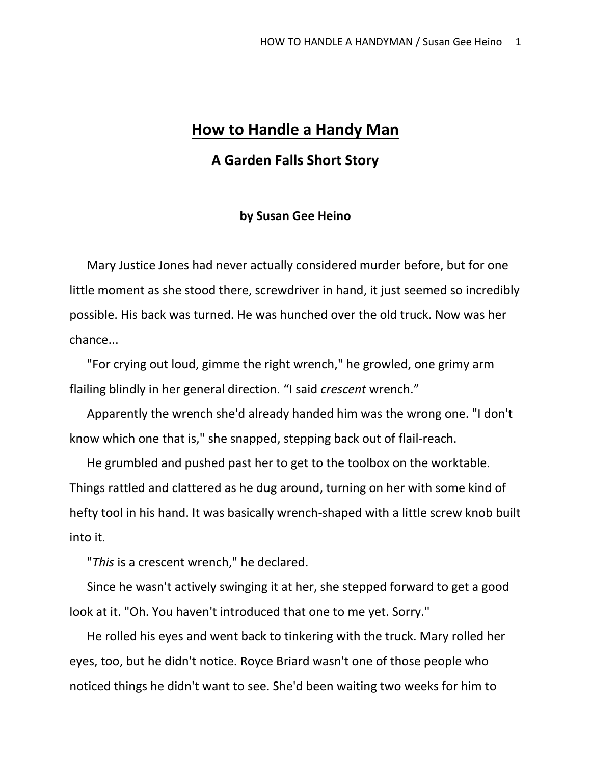## **How to Handle a Handy Man**

## **A Garden Falls Short Story**

## **by Susan Gee Heino**

Mary Justice Jones had never actually considered murder before, but for one little moment as she stood there, screwdriver in hand, it just seemed so incredibly possible. His back was turned. He was hunched over the old truck. Now was her chance...

"For crying out loud, gimme the right wrench," he growled, one grimy arm flailing blindly in her general direction. "I said *crescent* wrench."

Apparently the wrench she'd already handed him was the wrong one. "I don't know which one that is," she snapped, stepping back out of flail-reach.

He grumbled and pushed past her to get to the toolbox on the worktable. Things rattled and clattered as he dug around, turning on her with some kind of hefty tool in his hand. It was basically wrench-shaped with a little screw knob built into it.

"*This* is a crescent wrench," he declared.

Since he wasn't actively swinging it at her, she stepped forward to get a good look at it. "Oh. You haven't introduced that one to me yet. Sorry."

He rolled his eyes and went back to tinkering with the truck. Mary rolled her eyes, too, but he didn't notice. Royce Briard wasn't one of those people who noticed things he didn't want to see. She'd been waiting two weeks for him to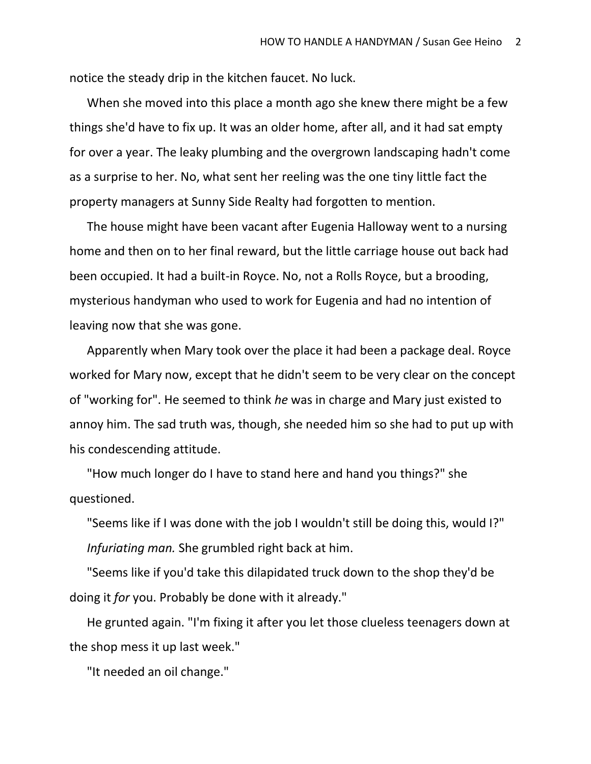notice the steady drip in the kitchen faucet. No luck.

When she moved into this place a month ago she knew there might be a few things she'd have to fix up. It was an older home, after all, and it had sat empty for over a year. The leaky plumbing and the overgrown landscaping hadn't come as a surprise to her. No, what sent her reeling was the one tiny little fact the property managers at Sunny Side Realty had forgotten to mention.

The house might have been vacant after Eugenia Halloway went to a nursing home and then on to her final reward, but the little carriage house out back had been occupied. It had a built-in Royce. No, not a Rolls Royce, but a brooding, mysterious handyman who used to work for Eugenia and had no intention of leaving now that she was gone.

Apparently when Mary took over the place it had been a package deal. Royce worked for Mary now, except that he didn't seem to be very clear on the concept of "working for". He seemed to think *he* was in charge and Mary just existed to annoy him. The sad truth was, though, she needed him so she had to put up with his condescending attitude.

"How much longer do I have to stand here and hand you things?" she questioned.

"Seems like if I was done with the job I wouldn't still be doing this, would I?" *Infuriating man.* She grumbled right back at him.

"Seems like if you'd take this dilapidated truck down to the shop they'd be doing it *for* you. Probably be done with it already."

He grunted again. "I'm fixing it after you let those clueless teenagers down at the shop mess it up last week."

"It needed an oil change."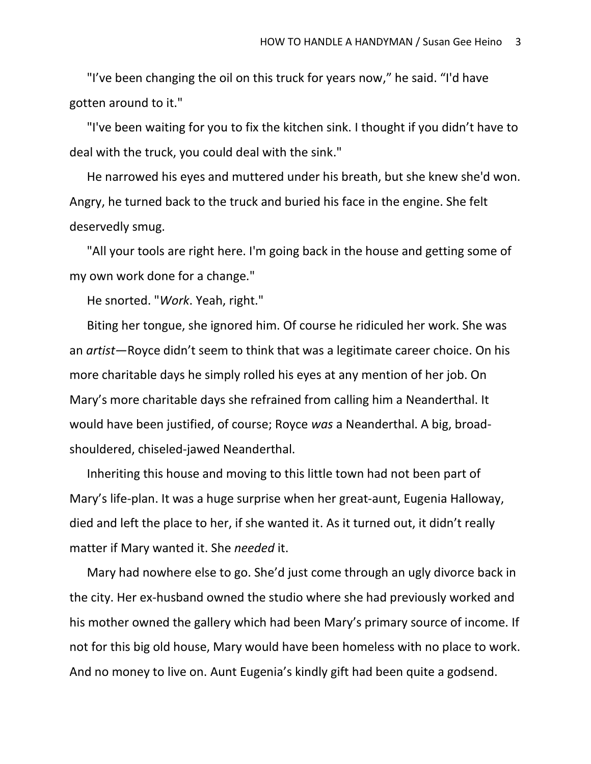"I've been changing the oil on this truck for years now," he said. "I'd have gotten around to it."

"I've been waiting for you to fix the kitchen sink. I thought if you didn't have to deal with the truck, you could deal with the sink."

He narrowed his eyes and muttered under his breath, but she knew she'd won. Angry, he turned back to the truck and buried his face in the engine. She felt deservedly smug.

"All your tools are right here. I'm going back in the house and getting some of my own work done for a change."

He snorted. "*Work*. Yeah, right."

Biting her tongue, she ignored him. Of course he ridiculed her work. She was an *artist*—Royce didn't seem to think that was a legitimate career choice. On his more charitable days he simply rolled his eyes at any mention of her job. On Mary's more charitable days she refrained from calling him a Neanderthal. It would have been justified, of course; Royce *was* a Neanderthal. A big, broadshouldered, chiseled-jawed Neanderthal.

Inheriting this house and moving to this little town had not been part of Mary's life-plan. It was a huge surprise when her great-aunt, Eugenia Halloway, died and left the place to her, if she wanted it. As it turned out, it didn't really matter if Mary wanted it. She *needed* it.

Mary had nowhere else to go. She'd just come through an ugly divorce back in the city. Her ex-husband owned the studio where she had previously worked and his mother owned the gallery which had been Mary's primary source of income. If not for this big old house, Mary would have been homeless with no place to work. And no money to live on. Aunt Eugenia's kindly gift had been quite a godsend.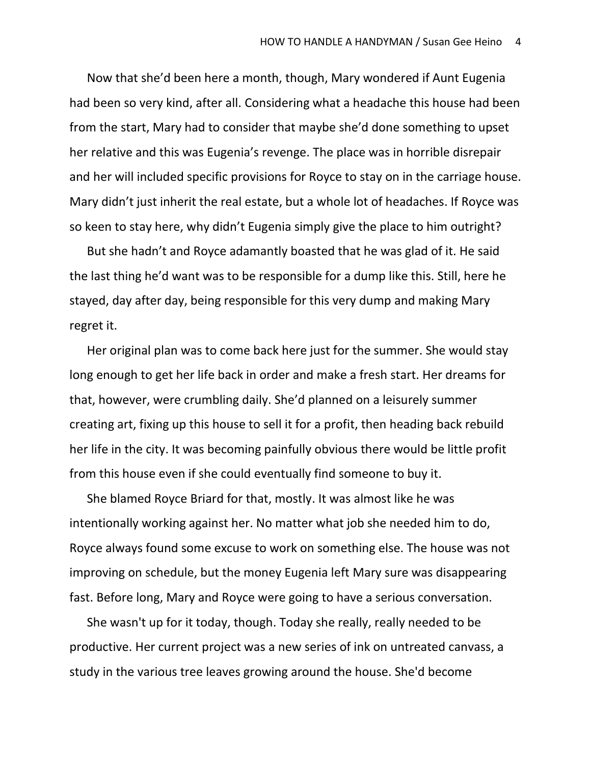Now that she'd been here a month, though, Mary wondered if Aunt Eugenia had been so very kind, after all. Considering what a headache this house had been from the start, Mary had to consider that maybe she'd done something to upset her relative and this was Eugenia's revenge. The place was in horrible disrepair and her will included specific provisions for Royce to stay on in the carriage house. Mary didn't just inherit the real estate, but a whole lot of headaches. If Royce was so keen to stay here, why didn't Eugenia simply give the place to him outright?

But she hadn't and Royce adamantly boasted that he was glad of it. He said the last thing he'd want was to be responsible for a dump like this. Still, here he stayed, day after day, being responsible for this very dump and making Mary regret it.

Her original plan was to come back here just for the summer. She would stay long enough to get her life back in order and make a fresh start. Her dreams for that, however, were crumbling daily. She'd planned on a leisurely summer creating art, fixing up this house to sell it for a profit, then heading back rebuild her life in the city. It was becoming painfully obvious there would be little profit from this house even if she could eventually find someone to buy it.

She blamed Royce Briard for that, mostly. It was almost like he was intentionally working against her. No matter what job she needed him to do, Royce always found some excuse to work on something else. The house was not improving on schedule, but the money Eugenia left Mary sure was disappearing fast. Before long, Mary and Royce were going to have a serious conversation.

She wasn't up for it today, though. Today she really, really needed to be productive. Her current project was a new series of ink on untreated canvass, a study in the various tree leaves growing around the house. She'd become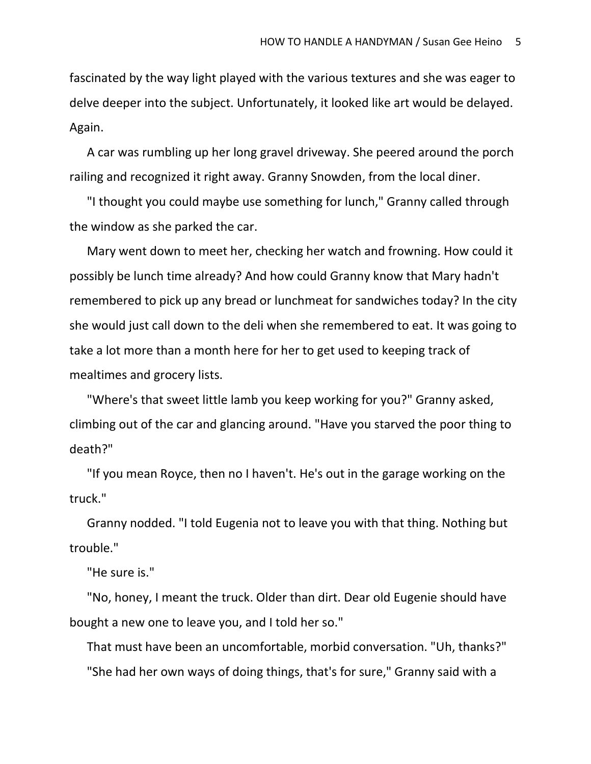fascinated by the way light played with the various textures and she was eager to delve deeper into the subject. Unfortunately, it looked like art would be delayed. Again.

A car was rumbling up her long gravel driveway. She peered around the porch railing and recognized it right away. Granny Snowden, from the local diner.

"I thought you could maybe use something for lunch," Granny called through the window as she parked the car.

Mary went down to meet her, checking her watch and frowning. How could it possibly be lunch time already? And how could Granny know that Mary hadn't remembered to pick up any bread or lunchmeat for sandwiches today? In the city she would just call down to the deli when she remembered to eat. It was going to take a lot more than a month here for her to get used to keeping track of mealtimes and grocery lists.

"Where's that sweet little lamb you keep working for you?" Granny asked, climbing out of the car and glancing around. "Have you starved the poor thing to death?"

"If you mean Royce, then no I haven't. He's out in the garage working on the truck."

Granny nodded. "I told Eugenia not to leave you with that thing. Nothing but trouble."

"He sure is."

"No, honey, I meant the truck. Older than dirt. Dear old Eugenie should have bought a new one to leave you, and I told her so."

That must have been an uncomfortable, morbid conversation. "Uh, thanks?" "She had her own ways of doing things, that's for sure," Granny said with a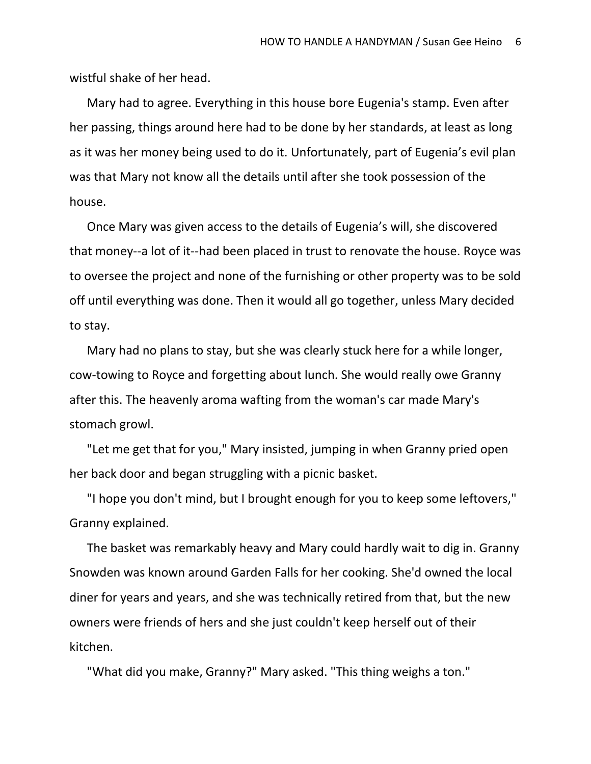wistful shake of her head.

Mary had to agree. Everything in this house bore Eugenia's stamp. Even after her passing, things around here had to be done by her standards, at least as long as it was her money being used to do it. Unfortunately, part of Eugenia's evil plan was that Mary not know all the details until after she took possession of the house.

Once Mary was given access to the details of Eugenia's will, she discovered that money--a lot of it--had been placed in trust to renovate the house. Royce was to oversee the project and none of the furnishing or other property was to be sold off until everything was done. Then it would all go together, unless Mary decided to stay.

Mary had no plans to stay, but she was clearly stuck here for a while longer, cow-towing to Royce and forgetting about lunch. She would really owe Granny after this. The heavenly aroma wafting from the woman's car made Mary's stomach growl.

"Let me get that for you," Mary insisted, jumping in when Granny pried open her back door and began struggling with a picnic basket.

"I hope you don't mind, but I brought enough for you to keep some leftovers," Granny explained.

The basket was remarkably heavy and Mary could hardly wait to dig in. Granny Snowden was known around Garden Falls for her cooking. She'd owned the local diner for years and years, and she was technically retired from that, but the new owners were friends of hers and she just couldn't keep herself out of their kitchen.

"What did you make, Granny?" Mary asked. "This thing weighs a ton."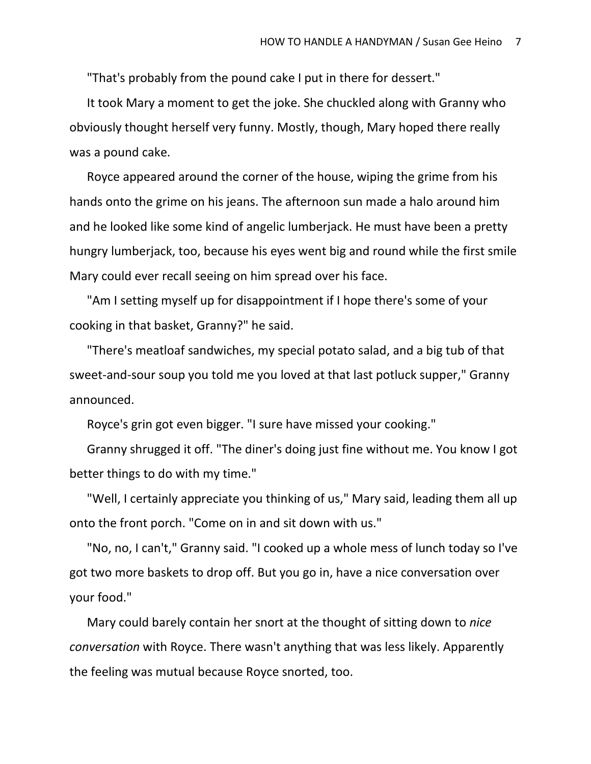"That's probably from the pound cake I put in there for dessert."

It took Mary a moment to get the joke. She chuckled along with Granny who obviously thought herself very funny. Mostly, though, Mary hoped there really was a pound cake.

Royce appeared around the corner of the house, wiping the grime from his hands onto the grime on his jeans. The afternoon sun made a halo around him and he looked like some kind of angelic lumberjack. He must have been a pretty hungry lumberjack, too, because his eyes went big and round while the first smile Mary could ever recall seeing on him spread over his face.

"Am I setting myself up for disappointment if I hope there's some of your cooking in that basket, Granny?" he said.

"There's meatloaf sandwiches, my special potato salad, and a big tub of that sweet-and-sour soup you told me you loved at that last potluck supper," Granny announced.

Royce's grin got even bigger. "I sure have missed your cooking."

Granny shrugged it off. "The diner's doing just fine without me. You know I got better things to do with my time."

"Well, I certainly appreciate you thinking of us," Mary said, leading them all up onto the front porch. "Come on in and sit down with us."

"No, no, I can't," Granny said. "I cooked up a whole mess of lunch today so I've got two more baskets to drop off. But you go in, have a nice conversation over your food."

Mary could barely contain her snort at the thought of sitting down to *nice conversation* with Royce. There wasn't anything that was less likely. Apparently the feeling was mutual because Royce snorted, too.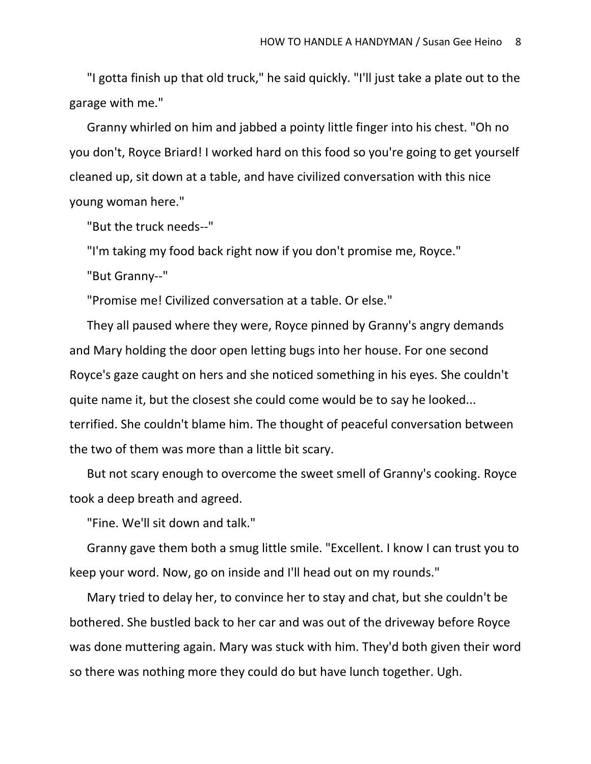"I gotta finish up that old truck," he said quickly. "I'll just take a plate out to the garage with me."

Granny whirled on him and jabbed a pointy little finger into his chest. "Oh no you don't, Royce Briard! I worked hard on this food so you're going to get yourself cleaned up, sit down at a table, and have civilized conversation with this nice young woman here."

"But the truck needs--"

"I'm taking my food back right now if you don't promise me, Royce."

"But Granny--"

"Promise me! Civilized conversation at a table. Or else."

They all paused where they were, Royce pinned by Granny's angry demands and Mary holding the door open letting bugs into her house. For one second Royce's gaze caught on hers and she noticed something in his eyes. She couldn't quite name it, but the closest she could come would be to say he looked... terrified. She couldn't blame him. The thought of peaceful conversation between the two of them was more than a little bit scary.

But not scary enough to overcome the sweet smell of Granny's cooking. Royce took a deep breath and agreed.

"Fine. We'll sit down and talk."

Granny gave them both a smug little smile. "Excellent. I know I can trust you to keep your word. Now, go on inside and I'll head out on my rounds."

Mary tried to delay her, to convince her to stay and chat, but she couldn't be bothered. She bustled back to her car and was out of the driveway before Royce was done muttering again. Mary was stuck with him. They'd both given their word so there was nothing more they could do but have lunch together. Ugh.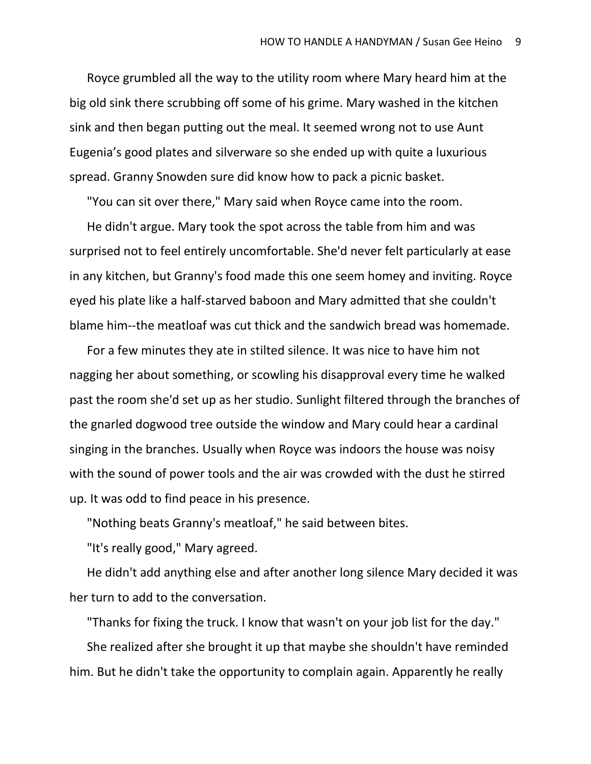Royce grumbled all the way to the utility room where Mary heard him at the big old sink there scrubbing off some of his grime. Mary washed in the kitchen sink and then began putting out the meal. It seemed wrong not to use Aunt Eugenia's good plates and silverware so she ended up with quite a luxurious spread. Granny Snowden sure did know how to pack a picnic basket.

"You can sit over there," Mary said when Royce came into the room.

He didn't argue. Mary took the spot across the table from him and was surprised not to feel entirely uncomfortable. She'd never felt particularly at ease in any kitchen, but Granny's food made this one seem homey and inviting. Royce eyed his plate like a half-starved baboon and Mary admitted that she couldn't blame him--the meatloaf was cut thick and the sandwich bread was homemade.

For a few minutes they ate in stilted silence. It was nice to have him not nagging her about something, or scowling his disapproval every time he walked past the room she'd set up as her studio. Sunlight filtered through the branches of the gnarled dogwood tree outside the window and Mary could hear a cardinal singing in the branches. Usually when Royce was indoors the house was noisy with the sound of power tools and the air was crowded with the dust he stirred up. It was odd to find peace in his presence.

"Nothing beats Granny's meatloaf," he said between bites.

"It's really good," Mary agreed.

He didn't add anything else and after another long silence Mary decided it was her turn to add to the conversation.

"Thanks for fixing the truck. I know that wasn't on your job list for the day." She realized after she brought it up that maybe she shouldn't have reminded him. But he didn't take the opportunity to complain again. Apparently he really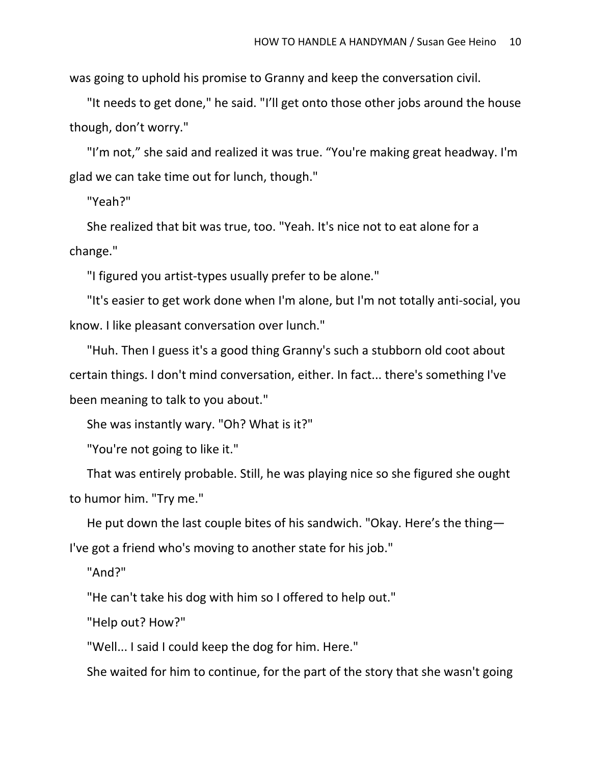was going to uphold his promise to Granny and keep the conversation civil.

"It needs to get done," he said. "I'll get onto those other jobs around the house though, don't worry."

"I'm not," she said and realized it was true. "You're making great headway. I'm glad we can take time out for lunch, though."

"Yeah?"

She realized that bit was true, too. "Yeah. It's nice not to eat alone for a change."

"I figured you artist-types usually prefer to be alone."

"It's easier to get work done when I'm alone, but I'm not totally anti-social, you know. I like pleasant conversation over lunch."

"Huh. Then I guess it's a good thing Granny's such a stubborn old coot about certain things. I don't mind conversation, either. In fact... there's something I've been meaning to talk to you about."

She was instantly wary. "Oh? What is it?"

"You're not going to like it."

That was entirely probable. Still, he was playing nice so she figured she ought to humor him. "Try me."

He put down the last couple bites of his sandwich. "Okay. Here's the thing— I've got a friend who's moving to another state for his job."

"And?"

"He can't take his dog with him so I offered to help out."

"Help out? How?"

"Well... I said I could keep the dog for him. Here."

She waited for him to continue, for the part of the story that she wasn't going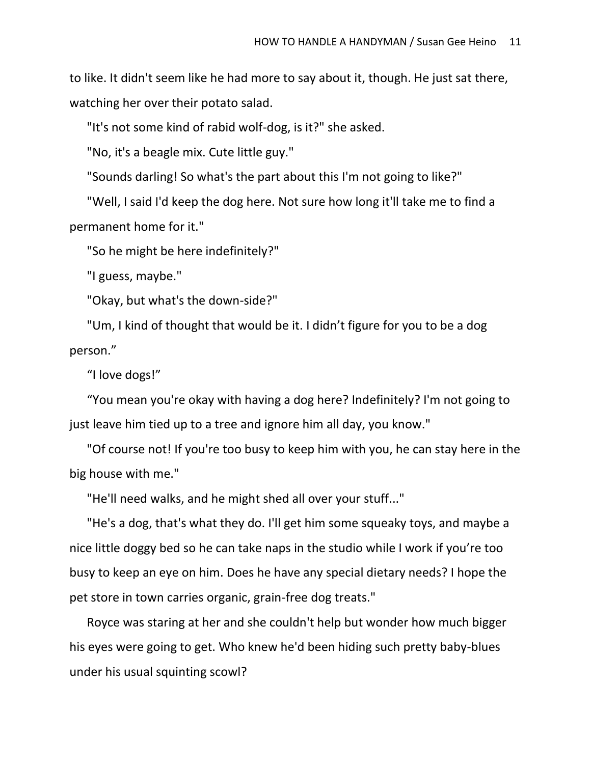to like. It didn't seem like he had more to say about it, though. He just sat there, watching her over their potato salad.

"It's not some kind of rabid wolf-dog, is it?" she asked.

"No, it's a beagle mix. Cute little guy."

"Sounds darling! So what's the part about this I'm not going to like?"

"Well, I said I'd keep the dog here. Not sure how long it'll take me to find a permanent home for it."

"So he might be here indefinitely?"

"I guess, maybe."

"Okay, but what's the down-side?"

"Um, I kind of thought that would be it. I didn't figure for you to be a dog person."

"I love dogs!"

"You mean you're okay with having a dog here? Indefinitely? I'm not going to just leave him tied up to a tree and ignore him all day, you know."

"Of course not! If you're too busy to keep him with you, he can stay here in the big house with me."

"He'll need walks, and he might shed all over your stuff..."

"He's a dog, that's what they do. I'll get him some squeaky toys, and maybe a nice little doggy bed so he can take naps in the studio while I work if you're too busy to keep an eye on him. Does he have any special dietary needs? I hope the pet store in town carries organic, grain-free dog treats."

Royce was staring at her and she couldn't help but wonder how much bigger his eyes were going to get. Who knew he'd been hiding such pretty baby-blues under his usual squinting scowl?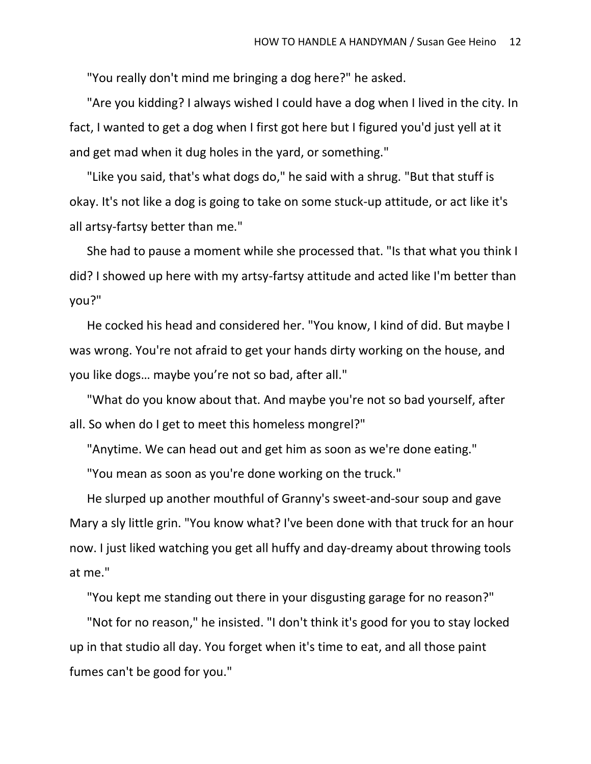"You really don't mind me bringing a dog here?" he asked.

"Are you kidding? I always wished I could have a dog when I lived in the city. In fact, I wanted to get a dog when I first got here but I figured you'd just yell at it and get mad when it dug holes in the yard, or something."

"Like you said, that's what dogs do," he said with a shrug. "But that stuff is okay. It's not like a dog is going to take on some stuck-up attitude, or act like it's all artsy-fartsy better than me."

She had to pause a moment while she processed that. "Is that what you think I did? I showed up here with my artsy-fartsy attitude and acted like I'm better than you?"

He cocked his head and considered her. "You know, I kind of did. But maybe I was wrong. You're not afraid to get your hands dirty working on the house, and you like dogs… maybe you're not so bad, after all."

"What do you know about that. And maybe you're not so bad yourself, after all. So when do I get to meet this homeless mongrel?"

"Anytime. We can head out and get him as soon as we're done eating."

"You mean as soon as you're done working on the truck."

He slurped up another mouthful of Granny's sweet-and-sour soup and gave Mary a sly little grin. "You know what? I've been done with that truck for an hour now. I just liked watching you get all huffy and day-dreamy about throwing tools at me."

"You kept me standing out there in your disgusting garage for no reason?"

"Not for no reason," he insisted. "I don't think it's good for you to stay locked up in that studio all day. You forget when it's time to eat, and all those paint fumes can't be good for you."